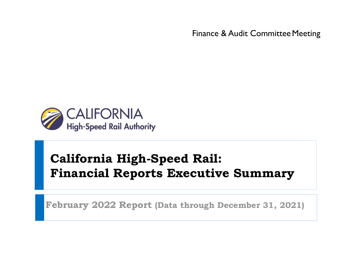Finance & Audit Committee Meeting



# **California High-Speed Rail: Financial Reports Executive Summary**

**February 2022 Report (Data through December 31, 2021)**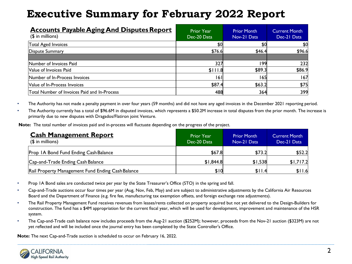| <b>Accounts Payable Aging And Disputes Report</b><br>$($$ in millions) | <b>Prior Year</b><br>Dec-20 Data | <b>Prior Month</b><br>Nov-21 Data | <b>Current Month</b><br>Dec-21 Data |
|------------------------------------------------------------------------|----------------------------------|-----------------------------------|-------------------------------------|
| Total Aged Invoices                                                    | \$0                              | \$0                               | \$0                                 |
| Dispute Summary                                                        | \$76.6                           | \$46.4                            | \$96.6                              |
|                                                                        |                                  |                                   |                                     |
| Number of Invoices Paid                                                | 327                              | 199                               | 232                                 |
| Value of Invoices Paid                                                 | \$111.8                          | \$89.3                            | \$86.9                              |
| Number of In-Process Invoices                                          | 16 I                             | 165                               | 167                                 |
| Value of In-Process Invoices                                           | \$87.4                           | \$63.2                            | \$75                                |
| Total Number of Invoices Paid and In-Process                           | 488                              | 364                               | 399                                 |

• The Authority has not made a penalty payment in over four years (59 months) and did not have any aged invoices in the December 2021 reporting period.

• The Authority currently has a total of \$96.6M in disputed invoices, which represents a \$50.2M increase in total disputes from the prior month. The increase is primarily due to new disputes with Dragados/Flatiron joint Venture.

**Note:** The total number of invoices paid and in-process will fluctuate depending on the progress of the project.

| <b>Cash Management Report</b><br>$$$ in millions) | <b>Prior Year</b><br>Dec-20 Data | <b>Prior Month</b><br>Nov-21 Data | <b>Current Month</b><br>Dec-21 Data |
|---------------------------------------------------|----------------------------------|-----------------------------------|-------------------------------------|
| Prop IA Bond Fund Ending Cash Balance             | \$67.8                           | \$73.2                            | \$52.2                              |
| Cap-and-Trade Ending Cash Balance                 | \$1,844.8                        | \$1,538                           | \$1,717.2                           |
| Rail Property Management Fund Ending Cash Balance | \$10                             | \$11.4                            | \$11.6                              |

- Prop 1A Bond sales are conducted twice per year by the State Treasurer's Office (STO) in the spring and fall.
- Cap-and-Trade auctions occur four times per year (Aug, Nov, Feb, May) and are subject to administrative adjustments by the California Air Resources Board and the Department of Finance (e.g. fire fee, manufacturing tax exemption offsets, and foreign exchange rate adjustments).
- The Rail Property Management Fund receives revenues from leases/rents collected on property acquired but not yet delivered to the Design-Builders for construction. The fund has a \$4M appropriation for the current fiscal year, which will be used for development, improvement and maintenance of the HSR system.
- The Cap-and-Trade cash balance now includes proceeds from the Aug-21 auction (\$252M); however, proceeds from the Nov-21 auction (\$323M) are not yet reflected and will be included once the journal entry has been completed by the State Controller's Office.

**Note:** The next Cap-and-Trade auction is scheduled to occur on February 16, 2022.

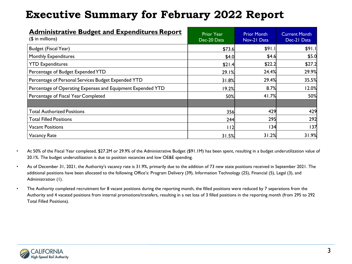| <b>Administrative Budget and Expenditures Report</b><br>$($$ in millions) | <b>Prior Year</b><br>Dec-20 Data | <b>Prior Month</b><br>Nov-21 Data | <b>Current Month</b><br>Dec-21 Data |
|---------------------------------------------------------------------------|----------------------------------|-----------------------------------|-------------------------------------|
| Budget (Fiscal Year)                                                      | \$73.6                           | \$91.1                            | \$91.1                              |
| <b>Monthly Expenditures</b>                                               | \$4.0                            | \$4.6                             | \$5.0                               |
| <b>YTD Expenditures</b>                                                   | \$21.4                           | \$22.2                            | \$27.2                              |
| Percentage of Budget Expended YTD                                         | 29.1%                            | 24.4%                             | 29.9%                               |
| Percentage of Personal Services Budget Expended YTD                       | 31.8%                            | 29.4%                             | 35.5%                               |
| Percentage of Operating Expenses and Equipment Expended YTD               | 19.2%                            | 8.7%                              | 12.0%                               |
| Percentage of Fiscal Year Completed                                       | 50%                              | 41.7%                             | 50%                                 |
|                                                                           |                                  |                                   |                                     |
| <b>Total Authorized Positions</b>                                         | 356                              | 429                               | 429                                 |
| <b>Total Filled Positions</b>                                             | 244                              | 295                               | 292                                 |
| <b>Vacant Positions</b>                                                   | 112                              | 134                               | 137                                 |
| <b>Vacancy Rate</b>                                                       | 31.5%                            | 31.2%                             | 31.9%                               |

- At 50% of the Fiscal Year completed, \$27.2M or 29.9% of the Administrative Budget (\$91.1M) has been spent, resulting in a budget underutilization value of 20.1%. The budget underutilization is due to position vacancies and low OE&E spending.
- As of December 31, 2021, the Authority's vacancy rate is 31.9%, primarily due to the addition of 73 new state positions received in September 2021. The additional positions have been allocated to the following Office's: Program Delivery (39), Information Technology (25), Financial (5), Legal (3), and Administration (1).
- The Authority completed recruitment for 8 vacant positions during the reporting month, the filled positions were reduced by 7 separations from the Authority and 4 vacated positions from internal promotions/transfers, resulting in a net loss of 3 filled positions in the reporting month (from 295 to 292 Total Filled Positions).

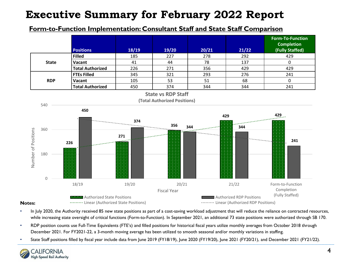### **Form-to-Function Implementation: Consultant Staff and State Staff Comparison**



- **Notes:**
- In July 2020, the Authority received 85 new state positions as part of a cost-saving workload adjustment that will reduce the reliance on contracted resources, while increasing state oversight of critical functions (Form-to-Function). In September 2021, an additional 73 state positions were authorized through SB 170.
- RDP position counts use Full-Time Equivalents (FTE's) and filled positions for historical fiscal years utilize monthly averages from October 2018 through December 2021. For FY2021-22, a 3-month moving average has been utilized to smooth seasonal and/or monthly variations in staffing.
- State Staff positions filled by fiscal year include data from June 2019 (FY18/19), June 2020 (FY19/20), June 2021 (FY20/21), and December 2021 (FY21/22).

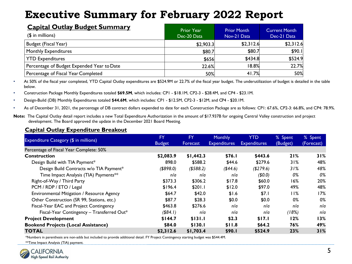| <b>Capital Outlay Budget Summary</b><br>$($$ in millions) | <b>Prior Year</b><br>Dec-20 Data | <b>Prior Month</b><br>Nov-21 Data | <b>Current Month</b><br>Dec-21 Data |
|-----------------------------------------------------------|----------------------------------|-----------------------------------|-------------------------------------|
| Budget (Fiscal Year)                                      | \$2,903.3                        | \$2,312.6                         | \$2,312.6                           |
| Monthly Expenditures                                      | \$80.7                           | \$80.7                            | \$90.1                              |
| <b>YTD Expenditures</b>                                   | \$656                            | \$434.8                           | \$524.9                             |
| Percentage of Budget Expended Year to Date                | 22.6%                            | 18.8%                             | 22.7%                               |
| Percentage of Fiscal Year Completed                       | 50%                              | 41.7%                             | 50%                                 |

• At 50% of the fiscal year completed, YTD Capital Outlay expenditures are \$524.9M or 22.7% of the fiscal year budget. The underutilization of budget is detailed in the table below.

• Construction Package Monthly Expenditures totaled **\$69.5M**, which includes: CP1 - \$18.1M, CP2-3 - \$28.4M, and CP4 - \$23.1M.

• Design-Build (DB) Monthly Expenditures totaled **\$44.6M**, which includes: CP1 - \$12.5M, CP2-3 - \$12M, and CP4 - \$20.1M.

• As of December 31, 2021, the percentage of DB contract dollars expended to date for each Construction Package are as follows: CP1: 67.6%, CP2-3: 66.8%, and CP4: 78.9%.

#### **Capital Outlay Expenditure Breakout**

|                                            | <b>FY</b>     | <b>FY</b>  | <b>Monthly</b>      | <b>YTD</b>          | % Spent  | % Spent    |
|--------------------------------------------|---------------|------------|---------------------|---------------------|----------|------------|
| Expenditure Category (\$ in millions)      | <b>Budget</b> | Forecast   | <b>Expenditures</b> | <b>Expenditures</b> | (Budget) | (Forecast) |
| Percentage of Fiscal Year Complete: 50%    |               |            |                     |                     |          |            |
| <b>Construction</b>                        | \$2,083.9     | \$1,442.3  | \$76.1              | \$443.6             | 21%      | 31%        |
| Design Build with TIA Payment*             | 898.0         | \$588.2    | \$44.6              | \$279.6             | 31%      | 48%        |
| Design Build Contracts w/o TIA Payment*    | ( \$898.0)    | ( \$588.2) | ( \$44.6)           | (\$279.6)           | 31%      | 48%        |
| Time Impact Analysis (TIA) Payments**      | n/a           | n/a        | n/a                 | (50.0)              | 0%       | 0%         |
| Right-of-Way / Third Party                 | \$373.3       | \$306.2    | \$17.8              | \$60.0              | 16%      | 20%        |
| PCM / RDP / ETO / Legal                    | \$196.4       | \$201.1    | \$12.0              | \$97.0              | 49%      | 48%        |
| Environmental Mitigation / Resource Agency | \$64.7        | \$42.0     | \$1.6               | \$7.1               | 11%      | 17%        |
| Other Construction (SR 99, Stations, etc.) | \$87.7        | \$28.3     | \$0.0               | \$0.0               | 0%       | 0%         |
| Fiscal-Year EAC and Project Contingency    | \$463.8       | \$276.6    | n/a                 | nla                 | n/a      | n/a        |
| Fiscal-Year Contingency - Transferred Out* | ( \$84.1)     | n/a        | n/a                 | nla                 | (18%)    | n/a        |
| <b>Project Development</b>                 | \$144.7       | \$131.1    | \$2.3               | \$17.1              | 12%      | 13%        |
| <b>Bookend Projects (Local Assistance)</b> | \$84.0        | \$130.1    | \$11.8              | \$64.2              | 76%      | 49%        |
| <b>TOTAL</b>                               | \$2,312.6     | \$1,703.4  | \$90.1              | \$524.9             | 23%      | 31%        |

\*Numbers in parenthesis are non-adds but included to provide additional detail. FY Project Contingency starting budget was \$544.4M.

\*\*Time Impact Analysis (TIA) payment.



**Note:** The Capital Outlay detail report includes a new Total Expenditure Authorization in the amount of \$17.937B for ongoing Central Valley construction and project development. The Board approved the update in the December 2021 Board Meeting.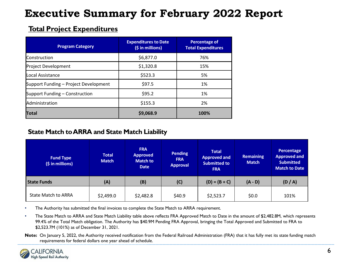### **Total Project Expenditures**

| <b>Program Category</b>               | <b>Expenditures to Date</b><br>(\$ in millions) | Percentage of<br><b>Total Expenditures</b> |
|---------------------------------------|-------------------------------------------------|--------------------------------------------|
| <b>Construction</b>                   | \$6,877.0                                       | 76%                                        |
| Project Development                   | \$1,320.8                                       | 15%                                        |
| Local Assistance                      | \$523.3                                         | 5%                                         |
| Support Funding – Project Development | \$97.5                                          | 1%                                         |
| Support Funding – Construction        | \$95.2                                          | 1%                                         |
| Administration                        | \$155.3                                         | 2%                                         |
| <b>Total</b>                          | \$9,068.9                                       | 100%                                       |

### **State Match to ARRA and State Match Liability**

| <b>Fund Type</b><br>(\$ in millions) | <b>Total</b><br><b>Match</b> | <b>FRA</b><br><b>Approved</b><br><b>Match to</b><br><b>Date</b> | <b>Pending</b><br><b>FRA</b><br><b>Approval</b> | <b>Total</b><br><b>Approved and</b><br><b>Submitted to</b><br><b>FRA</b> | <b>Remaining</b><br><b>Match</b> | Percentage<br><b>Approved and</b><br><b>Submitted</b><br><b>Match to Date</b> |
|--------------------------------------|------------------------------|-----------------------------------------------------------------|-------------------------------------------------|--------------------------------------------------------------------------|----------------------------------|-------------------------------------------------------------------------------|
| <b>State Funds</b>                   | (A)                          | (B)                                                             | (C)                                             | $(D) = (B + C)$                                                          | $(A - D)$                        | (D / A)                                                                       |
| <b>State Match to ARRA</b>           | \$2,499.0                    | \$2,482.8                                                       | \$40.9                                          | \$2,523.7                                                                | \$0.0                            | 101%                                                                          |

• The Authority has submitted the final invoices to complete the State Match to ARRA requirement.

• The State Match to ARRA and State Match Liability table above reflects FRA Approved Match to Date in the amount of \$2,482.8M, which represents 99.4% of the Total Match obligation. The Authority has \$40.9M Pending FRA Approval, bringing the Total Approved and Submitted to FRA to \$2,523.7M (101%) as of December 31, 2021.

**Note:** On January 5, 2022, the Authority received notification from the Federal Railroad Administration (FRA) that it has fully met its state funding match requirements for federal dollars one year ahead of schedule.

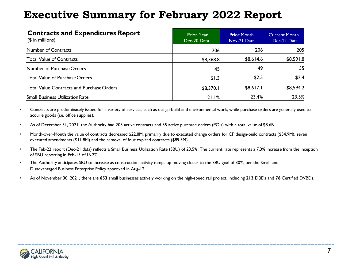| <b>Contracts and Expenditures Report</b><br>$($$ in millions) | <b>Prior Year</b><br>Dec-20 Data | <b>Prior Month</b><br>Nov-21 Data | Current Month<br>Dec-21 Data |
|---------------------------------------------------------------|----------------------------------|-----------------------------------|------------------------------|
| Number of Contracts                                           | 206                              | 206                               | 205                          |
| <b>Total Value of Contracts</b>                               | \$8,368.8                        | \$8,614.6                         | \$8,591.8                    |
| Number of Purchase Orders                                     | 45                               | 49                                | 55                           |
| Total Value of Purchase Orders                                | \$1.3                            | \$2.5                             | \$2.4                        |
| Total Value Contracts and Purchase Orders                     | \$8,370.1                        | \$8,617.1                         | \$8,594.2                    |
| <b>Small Business Utilization Rate</b>                        | 21.1%                            | 23.4%                             | 23.5%                        |

- Contracts are predominately issued for a variety of services, such as design-build and environmental work, while purchase orders are generally used to acquire goods (i.e. office supplies).
- As of December 31, 2021, the Authority had 205 active contracts and 55 active purchase orders (PO's) with a total value of \$8.6B.
- Month-over-Month the value of contracts decreased \$22.8M, primarily due to executed change orders for CP design-build contracts (\$54.9M), seven executed amendments (\$11.8M) and the removal of four expired contracts (\$89.5M).
- The Feb-22 report (Dec-21 data) reflects a Small Business Utilization Rate (SBU) of 23.5%. The current rate represents a 7.3% increase from the inception of SBU reporting in Feb-15 of 16.2%.
- The Authority anticipates SBU to increase as construction activity ramps up moving closer to the SBU goal of 30%, per the Small and Disadvantaged Business Enterprise Policy approved in Aug-12.
- As of November 30, 2021, there are **653** small businesses actively working on the high-speed rail project, including **213** DBE's and **76** Certified DVBE's.